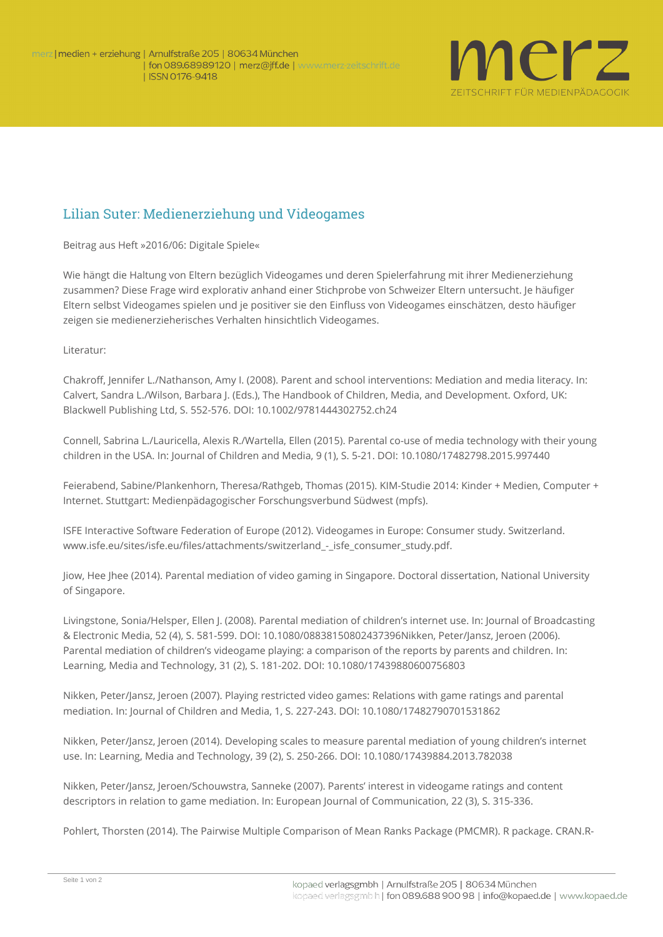

## Lilian Suter: Medienerziehung und Videogames

**Beitrag aus Heft »2016/06: Digitale Spiele«**

Wie hängt die Haltung von Eltern bezüglich Videogames und deren Spielerfahrung mit ihrer Medienerziehung zusammen? Diese Frage wird explorativ anhand einer Stichprobe von Schweizer Eltern untersucht. Je häufiger Eltern selbst Videogames spielen und je positiver sie den Einfluss von Videogames einschätzen, desto häufiger zeigen sie medienerzieherisches Verhalten hinsichtlich Videogames.

**Literatur**:

Chakroff, Jennifer L./Nathanson, Amy I. (2008). Parent and school interventions: Mediation and media literacy. In: Calvert, Sandra L./Wilson, Barbara J. (Eds.), The Handbook of Children, Media, and Development. Oxford, UK: Blackwell Publishing Ltd, S. 552-576. DOI: 10.1002/9781444302752.ch24

Connell, Sabrina L./Lauricella, Alexis R./Wartella, Ellen (2015). Parental co-use of media technology with their young children in the USA. In: Journal of Children and Media, 9 (1), S. 5-21. DOI: 10.1080/17482798.2015.997440

Feierabend, Sabine/Plankenhorn, Theresa/Rathgeb, Thomas (2015). KIM-Studie 2014: Kinder + Medien, Computer + Internet. Stuttgart: Medienpädagogischer Forschungsverbund Südwest (mpfs).

ISFE Interactive Software Federation of Europe (2012). Videogames in Europe: Consumer study. Switzerland. www.isfe.eu/sites/isfe.eu/files/attachments/switzerland - isfe\_consumer\_study.pdf.

Jiow, Hee Jhee (2014). Parental mediation of video gaming in Singapore. Doctoral dissertation, National University of Singapore.

Livingstone, Sonia/Helsper, Ellen J. (2008). Parental mediation of children's internet use. In: Journal of Broadcasting & Electronic Media, 52 (4), S. 581-599. DOI: 10.1080/08838150802437396Nikken, Peter/Jansz, Jeroen (2006). Parental mediation of children's videogame playing: a comparison of the reports by parents and children. In: Learning, Media and Technology, 31 (2), S. 181-202. DOI: 10.1080/17439880600756803

Nikken, Peter/Jansz, Jeroen (2007). Playing restricted video games: Relations with game ratings and parental mediation. In: Journal of Children and Media, 1, S. 227-243. DOI: 10.1080/17482790701531862

Nikken, Peter/Jansz, Jeroen (2014). Developing scales to measure parental mediation of young children's internet use. In: Learning, Media and Technology, 39 (2), S. 250-266. DOI: 10.1080/17439884.2013.782038

Nikken, Peter/Jansz, Jeroen/Schouwstra, Sanneke (2007). Parents' interest in videogame ratings and content descriptors in relation to game mediation. In: European Journal of Communication, 22 (3), S. 315-336.

Pohlert, Thorsten (2014). The Pairwise Multiple Comparison of Mean Ranks Package (PMCMR). R package. [CRAN.R-](http://CRAN.R-project.org/package=PMCMR.R)